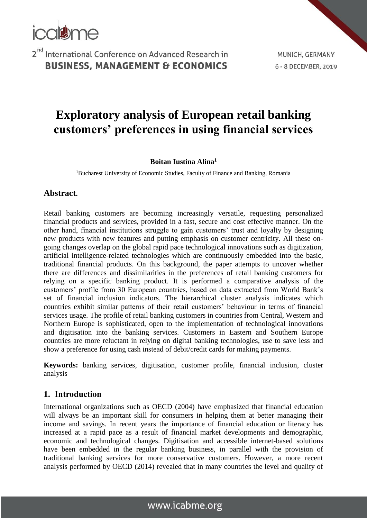

MUNICH, GERMANY 6 - 8 DECEMBER, 2019

# **Exploratory analysis of European retail banking customers' preferences in using financial services**

#### **Boitan Iustina Alina<sup>1</sup>**

<sup>1</sup>Bucharest University of Economic Studies, Faculty of Finance and Banking, Romania

#### **Abstract.**

Retail banking customers are becoming increasingly versatile, requesting personalized financial products and services, provided in a fast, secure and cost effective manner. On the other hand, financial institutions struggle to gain customers' trust and loyalty by designing new products with new features and putting emphasis on customer centricity. All these ongoing changes overlap on the global rapid pace technological innovations such as digitization, artificial intelligence-related technologies which are continuously embedded into the basic, traditional financial products. On this background, the paper attempts to uncover whether there are differences and dissimilarities in the preferences of retail banking customers for relying on a specific banking product. It is performed a comparative analysis of the customers' profile from 30 European countries, based on data extracted from World Bank's set of financial inclusion indicators. The hierarchical cluster analysis indicates which countries exhibit similar patterns of their retail customers' behaviour in terms of financial services usage. The profile of retail banking customers in countries from Central, Western and Northern Europe is sophisticated, open to the implementation of technological innovations and digitisation into the banking services. Customers in Eastern and Southern Europe countries are more reluctant in relying on digital banking technologies, use to save less and show a preference for using cash instead of debit/credit cards for making payments.

**Keywords:** banking services, digitisation, customer profile, financial inclusion, cluster analysis

#### **1. Introduction**

International organizations such as OECD (2004) have emphasized that financial education will always be an important skill for consumers in helping them at better managing their income and savings. In recent years the importance of financial education or literacy has increased at a rapid pace as a result of financial market developments and demographic, economic and technological changes. Digitisation and accessible internet-based solutions have been embedded in the regular banking business, in parallel with the provision of traditional banking services for more conservative customers. However, a more recent analysis performed by OECD (2014) revealed that in many countries the level and quality of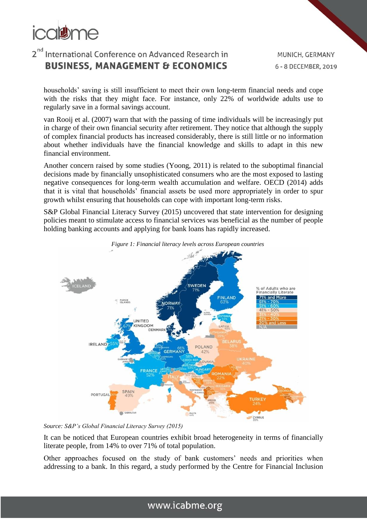

MUNICH, GERMANY 6 - 8 DECEMBER, 2019

households' saving is still insufficient to meet their own long-term financial needs and cope with the risks that they might face. For instance, only 22% of worldwide adults use to regularly save in a formal savings account.

van Rooij et al. (2007) warn that with the passing of time individuals will be increasingly put in charge of their own financial security after retirement. They notice that although the supply of complex financial products has increased considerably, there is still little or no information about whether individuals have the financial knowledge and skills to adapt in this new financial environment.

Another concern raised by some studies (Yoong, 2011) is related to the suboptimal financial decisions made by financially unsophisticated consumers who are the most exposed to lasting negative consequences for long-term wealth accumulation and welfare. OECD (2014) adds that it is vital that households' financial assets be used more appropriately in order to spur growth whilst ensuring that households can cope with important long-term risks.

S&P Global Financial Literacy Survey (2015) uncovered that state intervention for designing policies meant to stimulate access to financial services was beneficial as the number of people holding banking accounts and applying for bank loans has rapidly increased.



*Source: S&P's Global Financial Literacy Survey (2015)*

It can be noticed that European countries exhibit broad heterogeneity in terms of financially literate people, from 14% to over 71% of total population.

Other approaches focused on the study of bank customers' needs and priorities when addressing to a bank. In this regard, a study performed by the Centre for Financial Inclusion

### www.icabme.org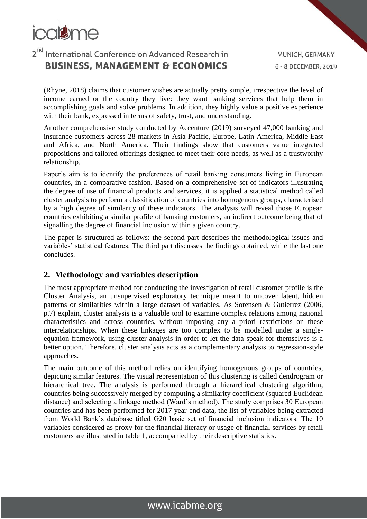

(Rhyne, 2018) claims that customer wishes are actually pretty simple, irrespective the level of income earned or the country they live: they want banking services that help them in accomplishing goals and solve problems. In addition, they highly value a positive experience with their bank, expressed in terms of safety, trust, and understanding.

Another comprehensive study conducted by Accenture (2019) surveyed 47,000 banking and insurance customers across 28 markets in Asia-Pacific, Europe, Latin America, Middle East and Africa, and North America. Their findings show that customers value integrated propositions and tailored offerings designed to meet their core needs, as well as a trustworthy relationship.

Paper's aim is to identify the preferences of retail banking consumers living in European countries, in a comparative fashion. Based on a comprehensive set of indicators illustrating the degree of use of financial products and services, it is applied a statistical method called cluster analysis to perform a classification of countries into homogenous groups, characterised by a high degree of similarity of these indicators. The analysis will reveal those European countries exhibiting a similar profile of banking customers, an indirect outcome being that of signalling the degree of financial inclusion within a given country.

The paper is structured as follows: the second part describes the methodological issues and variables' statistical features. The third part discusses the findings obtained, while the last one concludes.

#### **2. Methodology and variables description**

The most appropriate method for conducting the investigation of retail customer profile is the Cluster Analysis, an unsupervised exploratory technique meant to uncover latent, hidden patterns or similarities within a large dataset of variables. As Sorensen & Gutierrez (2006, p.7) explain, cluster analysis is a valuable tool to examine complex relations among national characteristics and across countries, without imposing any a priori restrictions on these interrelationships. When these linkages are too complex to be modelled under a singleequation framework, using cluster analysis in order to let the data speak for themselves is a better option. Therefore, cluster analysis acts as a complementary analysis to regression-style approaches.

The main outcome of this method relies on identifying homogenous groups of countries, depicting similar features. The visual representation of this clustering is called dendrogram or hierarchical tree. The analysis is performed through a hierarchical clustering algorithm, countries being successively merged by computing a similarity coefficient (squared Euclidean distance) and selecting a linkage method (Ward's method). The study comprises 30 European countries and has been performed for 2017 year-end data, the list of variables being extracted from World Bank's database titled G20 basic set of financial inclusion indicators. The 10 variables considered as proxy for the financial literacy or usage of financial services by retail customers are illustrated in table 1, accompanied by their descriptive statistics.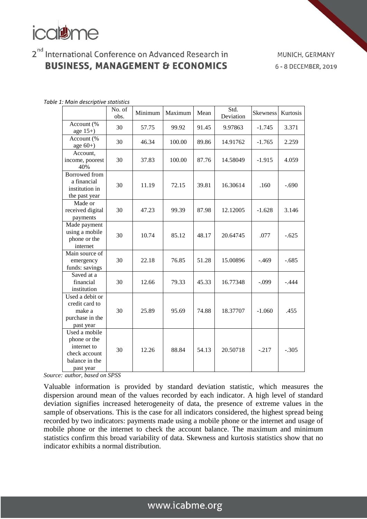# **icaisme**

## 2<sup>nd</sup> International Conference on Advanced Research in **BUSINESS, MANAGEMENT & ECONOMICS**

MUNICH, GERMANY 6 - 8 DECEMBER, 2019

|                                                                                              | No. of<br>obs. | Minimum | Maximum | Mean  | Std.<br>Deviation | Skewness | Kurtosis |
|----------------------------------------------------------------------------------------------|----------------|---------|---------|-------|-------------------|----------|----------|
| Account (%<br>age $15+$ )                                                                    | 30             | 57.75   | 99.92   | 91.45 | 9.97863           | $-1.745$ | 3.371    |
| Account (%<br>age $60+)$                                                                     | 30             | 46.34   | 100.00  | 89.86 | 14.91762          | $-1.765$ | 2.259    |
| Account,<br>income, poorest<br>40%                                                           | 30             | 37.83   | 100.00  | 87.76 | 14.58049          | $-1.915$ | 4.059    |
| <b>Borrowed</b> from<br>a financial<br>institution in<br>the past year                       | 30             | 11.19   | 72.15   | 39.81 | 16.30614          | .160     | $-.690$  |
| Made or<br>received digital<br>payments                                                      | 30             | 47.23   | 99.39   | 87.98 | 12.12005          | $-1.628$ | 3.146    |
| Made payment<br>using a mobile<br>phone or the<br>internet                                   | 30             | 10.74   | 85.12   | 48.17 | 20.64745          | .077     | $-.625$  |
| Main source of<br>emergency<br>funds: savings                                                | 30             | 22.18   | 76.85   | 51.28 | 15.00896          | $-.469$  | $-.685$  |
| Saved at a<br>financial<br>institution                                                       | 30             | 12.66   | 79.33   | 45.33 | 16.77348          | $-.099$  | $-.444$  |
| Used a debit or<br>credit card to<br>make a<br>purchase in the<br>past year                  | 30             | 25.89   | 95.69   | 74.88 | 18.37707          | $-1.060$ | .455     |
| Used a mobile<br>phone or the<br>internet to<br>check account<br>balance in the<br>past year | 30             | 12.26   | 88.84   | 54.13 | 20.50718          | $-.217$  | $-.305$  |

*Table 1: Main descriptive statistics*

*Source: author, based on SPSS*

Valuable information is provided by standard deviation statistic, which measures the dispersion around mean of the values recorded by each indicator. A high level of standard deviation signifies increased heterogeneity of data, the presence of extreme values in the sample of observations. This is the case for all indicators considered, the highest spread being recorded by two indicators: payments made using a mobile phone or the internet and usage of mobile phone or the internet to check the account balance. The maximum and minimum statistics confirm this broad variability of data. Skewness and kurtosis statistics show that no indicator exhibits a normal distribution.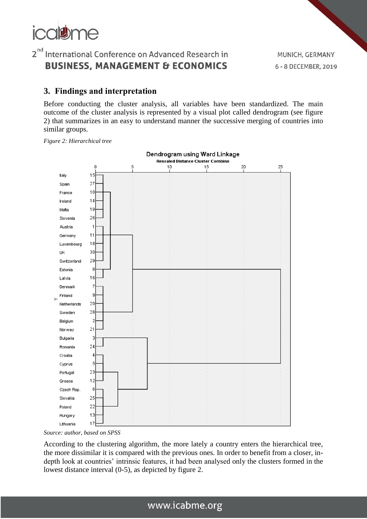

MUNICH, GERMANY 6 - 8 DECEMBER, 2019

#### **3. Findings and interpretation**

Before conducting the cluster analysis, all variables have been standardized. The main outcome of the cluster analysis is represented by a visual plot called dendrogram (see figure 2) that summarizes in an easy to understand manner the successive merging of countries into similar groups.







According to the clustering algorithm, the more lately a country enters the hierarchical tree, the more dissimilar it is compared with the previous ones. In order to benefit from a closer, indepth look at countries' intrinsic features, it had been analysed only the clusters formed in the lowest distance interval (0-5), as depicted by figure 2.

### www.icabme.org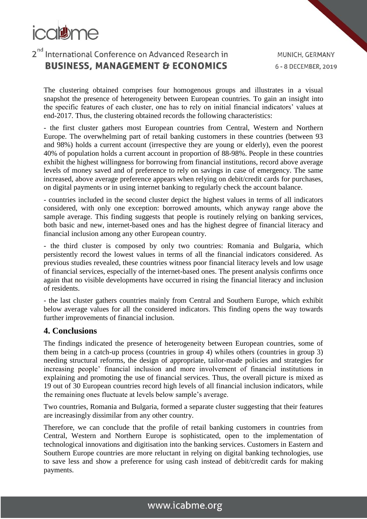# colum

## 2<sup>nd</sup> International Conference on Advanced Research in **BUSINESS, MANAGEMENT & ECONOMICS**

The clustering obtained comprises four homogenous groups and illustrates in a visual snapshot the presence of heterogeneity between European countries. To gain an insight into the specific features of each cluster, one has to rely on initial financial indicators' values at end-2017. Thus, the clustering obtained records the following characteristics:

- the first cluster gathers most European countries from Central, Western and Northern Europe. The overwhelming part of retail banking customers in these countries (between 93 and 98%) holds a current account (irrespective they are young or elderly), even the poorest 40% of population holds a current account in proportion of 88-98%. People in these countries exhibit the highest willingness for borrowing from financial institutions, record above average levels of money saved and of preference to rely on savings in case of emergency. The same increased, above average preference appears when relying on debit/credit cards for purchases, on digital payments or in using internet banking to regularly check the account balance.

- countries included in the second cluster depict the highest values in terms of all indicators considered, with only one exception: borrowed amounts, which anyway range above the sample average. This finding suggests that people is routinely relying on banking services, both basic and new, internet-based ones and has the highest degree of financial literacy and financial inclusion among any other European country.

- the third cluster is composed by only two countries: Romania and Bulgaria, which persistently record the lowest values in terms of all the financial indicators considered. As previous studies revealed, these countries witness poor financial literacy levels and low usage of financial services, especially of the internet-based ones. The present analysis confirms once again that no visible developments have occurred in rising the financial literacy and inclusion of residents.

- the last cluster gathers countries mainly from Central and Southern Europe, which exhibit below average values for all the considered indicators. This finding opens the way towards further improvements of financial inclusion.

#### **4. Conclusions**

The findings indicated the presence of heterogeneity between European countries, some of them being in a catch-up process (countries in group 4) whiles others (countries in group 3) needing structural reforms, the design of appropriate, tailor-made policies and strategies for increasing people' financial inclusion and more involvement of financial institutions in explaining and promoting the use of financial services. Thus, the overall picture is mixed as 19 out of 30 European countries record high levels of all financial inclusion indicators, while the remaining ones fluctuate at levels below sample's average.

Two countries, Romania and Bulgaria, formed a separate cluster suggesting that their features are increasingly dissimilar from any other country.

Therefore, we can conclude that the profile of retail banking customers in countries from Central, Western and Northern Europe is sophisticated, open to the implementation of technological innovations and digitisation into the banking services. Customers in Eastern and Southern Europe countries are more reluctant in relying on digital banking technologies, use to save less and show a preference for using cash instead of debit/credit cards for making payments.

## www.icabme.org